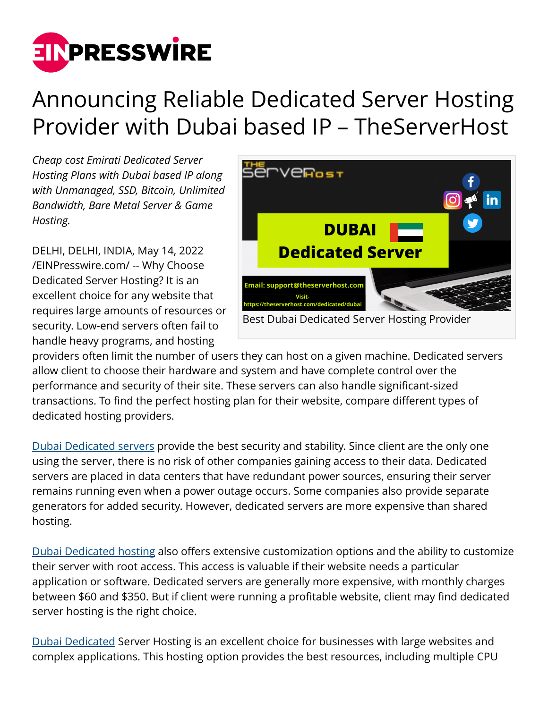

# Announcing Reliable Dedicated Server Hosting Provider with Dubai based IP – TheServerHost

*Cheap cost Emirati Dedicated Server Hosting Plans with Dubai based IP along with Unmanaged, SSD, Bitcoin, Unlimited Bandwidth, Bare Metal Server & Game Hosting.*

DELHI, DELHI, INDIA, May 14, 2022 [/EINPresswire.com/](http://www.einpresswire.com) -- Why Choose Dedicated Server Hosting? It is an excellent choice for any website that requires large amounts of resources or security. Low-end servers often fail to handle heavy programs, and hosting



providers often limit the number of users they can host on a given machine. Dedicated servers allow client to choose their hardware and system and have complete control over the performance and security of their site. These servers can also handle significant-sized transactions. To find the perfect hosting plan for their website, compare different types of dedicated hosting providers.

[Dubai Dedicated servers](https://theserverhost.com/dedicated/dubai) provide the best security and stability. Since client are the only one using the server, there is no risk of other companies gaining access to their data. Dedicated servers are placed in data centers that have redundant power sources, ensuring their server remains running even when a power outage occurs. Some companies also provide separate generators for added security. However, dedicated servers are more expensive than shared hosting.

[Dubai Dedicated hosting](https://theserverhost.com/dedicated/dubai) also offers extensive customization options and the ability to customize their server with root access. This access is valuable if their website needs a particular application or software. Dedicated servers are generally more expensive, with monthly charges between \$60 and \$350. But if client were running a profitable website, client may find dedicated server hosting is the right choice.

[Dubai Dedicated](https://theserverhost.com/dedicated/dubai) Server Hosting is an excellent choice for businesses with large websites and complex applications. This hosting option provides the best resources, including multiple CPU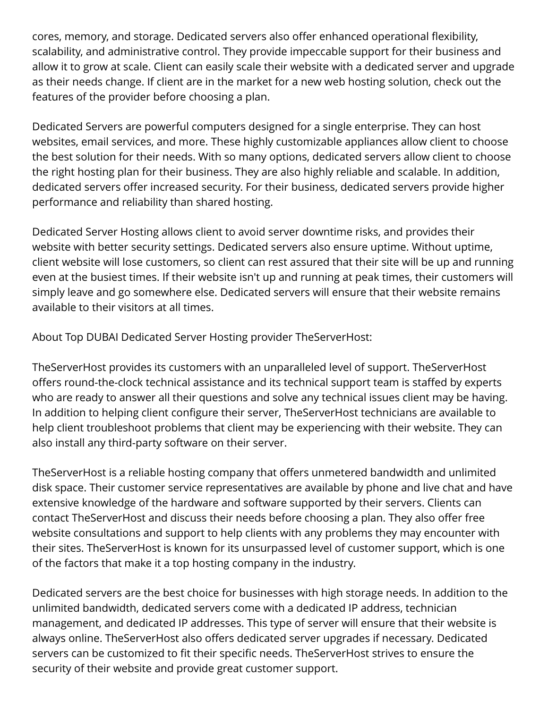cores, memory, and storage. Dedicated servers also offer enhanced operational flexibility, scalability, and administrative control. They provide impeccable support for their business and allow it to grow at scale. Client can easily scale their website with a dedicated server and upgrade as their needs change. If client are in the market for a new web hosting solution, check out the features of the provider before choosing a plan.

Dedicated Servers are powerful computers designed for a single enterprise. They can host websites, email services, and more. These highly customizable appliances allow client to choose the best solution for their needs. With so many options, dedicated servers allow client to choose the right hosting plan for their business. They are also highly reliable and scalable. In addition, dedicated servers offer increased security. For their business, dedicated servers provide higher performance and reliability than shared hosting.

Dedicated Server Hosting allows client to avoid server downtime risks, and provides their website with better security settings. Dedicated servers also ensure uptime. Without uptime, client website will lose customers, so client can rest assured that their site will be up and running even at the busiest times. If their website isn't up and running at peak times, their customers will simply leave and go somewhere else. Dedicated servers will ensure that their website remains available to their visitors at all times.

About Top DUBAI Dedicated Server Hosting provider TheServerHost:

TheServerHost provides its customers with an unparalleled level of support. TheServerHost offers round-the-clock technical assistance and its technical support team is staffed by experts who are ready to answer all their questions and solve any technical issues client may be having. In addition to helping client configure their server, TheServerHost technicians are available to help client troubleshoot problems that client may be experiencing with their website. They can also install any third-party software on their server.

TheServerHost is a reliable hosting company that offers unmetered bandwidth and unlimited disk space. Their customer service representatives are available by phone and live chat and have extensive knowledge of the hardware and software supported by their servers. Clients can contact TheServerHost and discuss their needs before choosing a plan. They also offer free website consultations and support to help clients with any problems they may encounter with their sites. TheServerHost is known for its unsurpassed level of customer support, which is one of the factors that make it a top hosting company in the industry.

Dedicated servers are the best choice for businesses with high storage needs. In addition to the unlimited bandwidth, dedicated servers come with a dedicated IP address, technician management, and dedicated IP addresses. This type of server will ensure that their website is always online. TheServerHost also offers dedicated server upgrades if necessary. Dedicated servers can be customized to fit their specific needs. TheServerHost strives to ensure the security of their website and provide great customer support.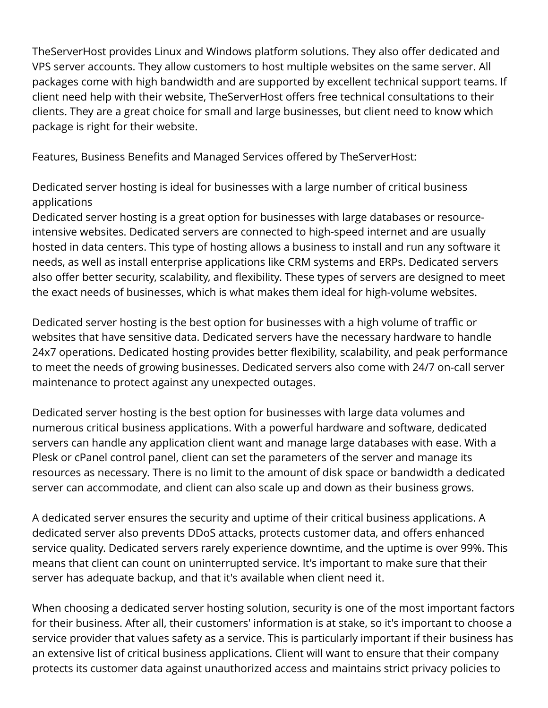TheServerHost provides Linux and Windows platform solutions. They also offer dedicated and VPS server accounts. They allow customers to host multiple websites on the same server. All packages come with high bandwidth and are supported by excellent technical support teams. If client need help with their website, TheServerHost offers free technical consultations to their clients. They are a great choice for small and large businesses, but client need to know which package is right for their website.

Features, Business Benefits and Managed Services offered by TheServerHost:

Dedicated server hosting is ideal for businesses with a large number of critical business applications

Dedicated server hosting is a great option for businesses with large databases or resourceintensive websites. Dedicated servers are connected to high-speed internet and are usually hosted in data centers. This type of hosting allows a business to install and run any software it needs, as well as install enterprise applications like CRM systems and ERPs. Dedicated servers also offer better security, scalability, and flexibility. These types of servers are designed to meet the exact needs of businesses, which is what makes them ideal for high-volume websites.

Dedicated server hosting is the best option for businesses with a high volume of traffic or websites that have sensitive data. Dedicated servers have the necessary hardware to handle 24x7 operations. Dedicated hosting provides better flexibility, scalability, and peak performance to meet the needs of growing businesses. Dedicated servers also come with 24/7 on-call server maintenance to protect against any unexpected outages.

Dedicated server hosting is the best option for businesses with large data volumes and numerous critical business applications. With a powerful hardware and software, dedicated servers can handle any application client want and manage large databases with ease. With a Plesk or cPanel control panel, client can set the parameters of the server and manage its resources as necessary. There is no limit to the amount of disk space or bandwidth a dedicated server can accommodate, and client can also scale up and down as their business grows.

A dedicated server ensures the security and uptime of their critical business applications. A dedicated server also prevents DDoS attacks, protects customer data, and offers enhanced service quality. Dedicated servers rarely experience downtime, and the uptime is over 99%. This means that client can count on uninterrupted service. It's important to make sure that their server has adequate backup, and that it's available when client need it.

When choosing a dedicated server hosting solution, security is one of the most important factors for their business. After all, their customers' information is at stake, so it's important to choose a service provider that values safety as a service. This is particularly important if their business has an extensive list of critical business applications. Client will want to ensure that their company protects its customer data against unauthorized access and maintains strict privacy policies to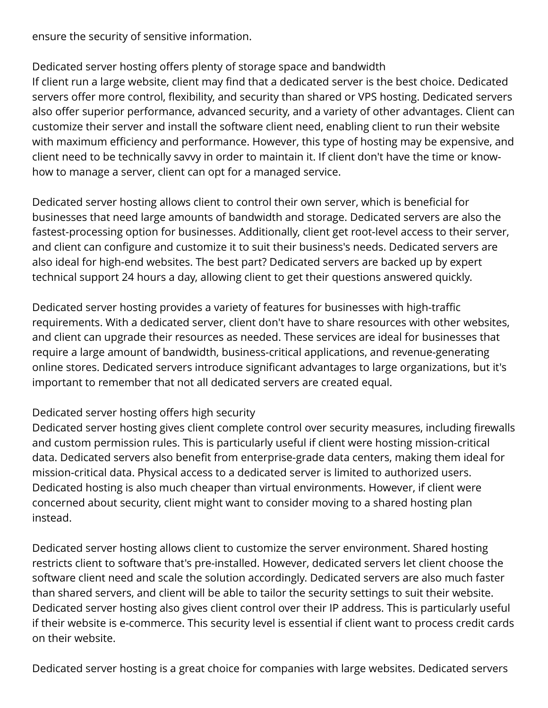ensure the security of sensitive information.

# Dedicated server hosting offers plenty of storage space and bandwidth

If client run a large website, client may find that a dedicated server is the best choice. Dedicated servers offer more control, flexibility, and security than shared or VPS hosting. Dedicated servers also offer superior performance, advanced security, and a variety of other advantages. Client can customize their server and install the software client need, enabling client to run their website with maximum efficiency and performance. However, this type of hosting may be expensive, and client need to be technically savvy in order to maintain it. If client don't have the time or knowhow to manage a server, client can opt for a managed service.

Dedicated server hosting allows client to control their own server, which is beneficial for businesses that need large amounts of bandwidth and storage. Dedicated servers are also the fastest-processing option for businesses. Additionally, client get root-level access to their server, and client can configure and customize it to suit their business's needs. Dedicated servers are also ideal for high-end websites. The best part? Dedicated servers are backed up by expert technical support 24 hours a day, allowing client to get their questions answered quickly.

Dedicated server hosting provides a variety of features for businesses with high-traffic requirements. With a dedicated server, client don't have to share resources with other websites, and client can upgrade their resources as needed. These services are ideal for businesses that require a large amount of bandwidth, business-critical applications, and revenue-generating online stores. Dedicated servers introduce significant advantages to large organizations, but it's important to remember that not all dedicated servers are created equal.

#### Dedicated server hosting offers high security

Dedicated server hosting gives client complete control over security measures, including firewalls and custom permission rules. This is particularly useful if client were hosting mission-critical data. Dedicated servers also benefit from enterprise-grade data centers, making them ideal for mission-critical data. Physical access to a dedicated server is limited to authorized users. Dedicated hosting is also much cheaper than virtual environments. However, if client were concerned about security, client might want to consider moving to a shared hosting plan instead.

Dedicated server hosting allows client to customize the server environment. Shared hosting restricts client to software that's pre-installed. However, dedicated servers let client choose the software client need and scale the solution accordingly. Dedicated servers are also much faster than shared servers, and client will be able to tailor the security settings to suit their website. Dedicated server hosting also gives client control over their IP address. This is particularly useful if their website is e-commerce. This security level is essential if client want to process credit cards on their website.

Dedicated server hosting is a great choice for companies with large websites. Dedicated servers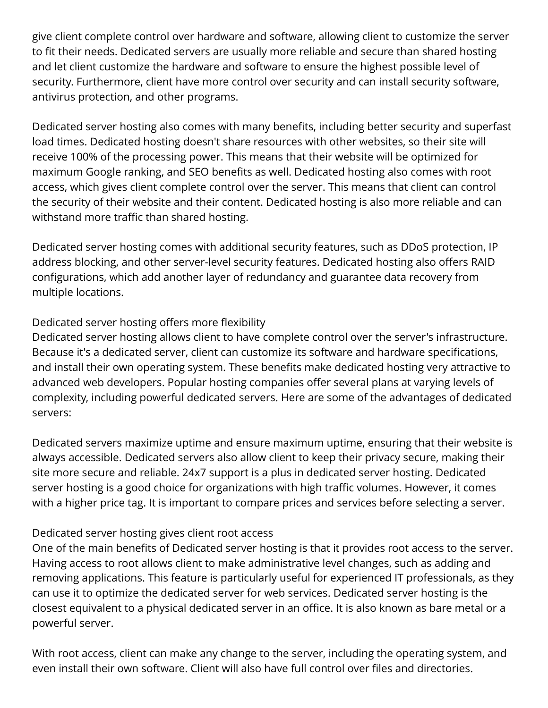give client complete control over hardware and software, allowing client to customize the server to fit their needs. Dedicated servers are usually more reliable and secure than shared hosting and let client customize the hardware and software to ensure the highest possible level of security. Furthermore, client have more control over security and can install security software, antivirus protection, and other programs.

Dedicated server hosting also comes with many benefits, including better security and superfast load times. Dedicated hosting doesn't share resources with other websites, so their site will receive 100% of the processing power. This means that their website will be optimized for maximum Google ranking, and SEO benefits as well. Dedicated hosting also comes with root access, which gives client complete control over the server. This means that client can control the security of their website and their content. Dedicated hosting is also more reliable and can withstand more traffic than shared hosting.

Dedicated server hosting comes with additional security features, such as DDoS protection, IP address blocking, and other server-level security features. Dedicated hosting also offers RAID configurations, which add another layer of redundancy and guarantee data recovery from multiple locations.

## Dedicated server hosting offers more flexibility

Dedicated server hosting allows client to have complete control over the server's infrastructure. Because it's a dedicated server, client can customize its software and hardware specifications, and install their own operating system. These benefits make dedicated hosting very attractive to advanced web developers. Popular hosting companies offer several plans at varying levels of complexity, including powerful dedicated servers. Here are some of the advantages of dedicated servers:

Dedicated servers maximize uptime and ensure maximum uptime, ensuring that their website is always accessible. Dedicated servers also allow client to keep their privacy secure, making their site more secure and reliable. 24x7 support is a plus in dedicated server hosting. Dedicated server hosting is a good choice for organizations with high traffic volumes. However, it comes with a higher price tag. It is important to compare prices and services before selecting a server.

#### Dedicated server hosting gives client root access

One of the main benefits of Dedicated server hosting is that it provides root access to the server. Having access to root allows client to make administrative level changes, such as adding and removing applications. This feature is particularly useful for experienced IT professionals, as they can use it to optimize the dedicated server for web services. Dedicated server hosting is the closest equivalent to a physical dedicated server in an office. It is also known as bare metal or a powerful server.

With root access, client can make any change to the server, including the operating system, and even install their own software. Client will also have full control over files and directories.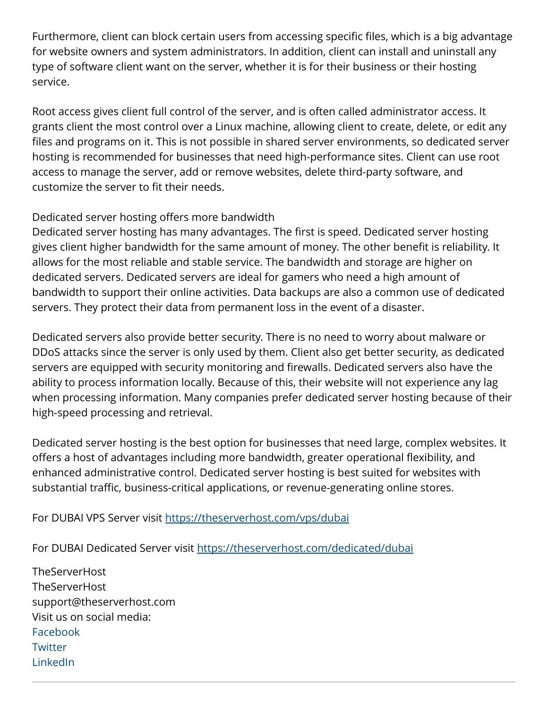Furthermore, client can block certain users from accessing specific files, which is a big advantage for website owners and system administrators. In addition, client can install and uninstall any type of software client want on the server, whether it is for their business or their hosting service.

Root access gives client full control of the server, and is often called administrator access. It grants client the most control over a Linux machine, allowing client to create, delete, or edit any files and programs on it. This is not possible in shared server environments, so dedicated server hosting is recommended for businesses that need high-performance sites. Client can use root access to manage the server, add or remove websites, delete third-party software, and customize the server to fit their needs.

## Dedicated server hosting offers more bandwidth

Dedicated server hosting has many advantages. The first is speed. Dedicated server hosting gives client higher bandwidth for the same amount of money. The other benefit is reliability. It allows for the most reliable and stable service. The bandwidth and storage are higher on dedicated servers. Dedicated servers are ideal for gamers who need a high amount of bandwidth to support their online activities. Data backups are also a common use of dedicated servers. They protect their data from permanent loss in the event of a disaster.

Dedicated servers also provide better security. There is no need to worry about malware or DDoS attacks since the server is only used by them. Client also get better security, as dedicated servers are equipped with security monitoring and firewalls. Dedicated servers also have the ability to process information locally. Because of this, their website will not experience any lag when processing information. Many companies prefer dedicated server hosting because of their high-speed processing and retrieval.

Dedicated server hosting is the best option for businesses that need large, complex websites. It offers a host of advantages including more bandwidth, greater operational flexibility, and enhanced administrative control. Dedicated server hosting is best suited for websites with substantial traffic, business-critical applications, or revenue-generating online stores.

For DUBAI VPS Server visit <https://theserverhost.com/vps/dubai>

For DUBAI Dedicated Server visit<https://theserverhost.com/dedicated/dubai>

**TheServerHost TheServerHost** support@theserverhost.com Visit us on social media: [Facebook](https://www.facebook.com/theserverhost/) **[Twitter](https://twitter.com/theserverhosts)** [LinkedIn](https://www.linkedin.com/in/theserverhost)